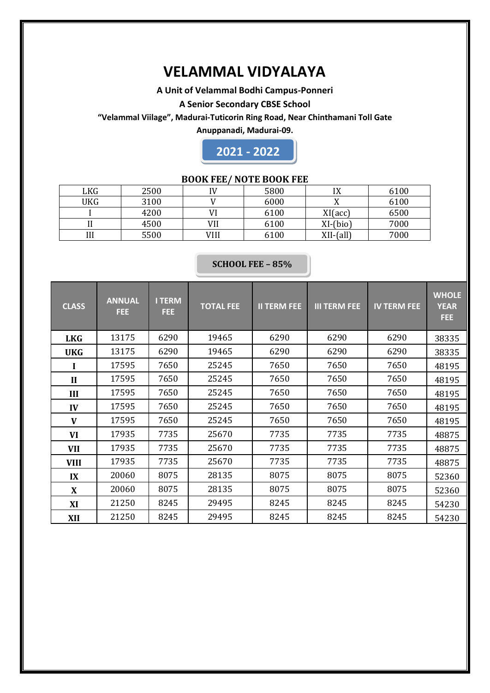## **VELAMMAL VIDYALAYA**

#### **A Unit of Velammal Bodhi Campus-Ponneri**

#### **A Senior Secondary CBSE School**

**"Velammal Viilage", Madurai-Tuticorin Ring Road, Near Chinthamani Toll Gate**

**Anuppanadi, Madurai-09.**



## **BOOK FEE/ NOTE BOOK FEE**

| LKG | 2500 | IV   | 5800 | ΙV<br>17    | 6100 |
|-----|------|------|------|-------------|------|
| UKG | 3100 |      | 6000 | 77          | 6100 |
|     | 4200 |      | 6100 | XI(acc)     | 6500 |
| 11  | 4500 | VII  | 6100 | $XI-(bio)$  | 7000 |
| Ш   | 5500 | VIII | 6100 | $XII-(all)$ | 7000 |

#### **SCHOOL FEE – 85%**

| <b>CLASS</b> | <b>ANNUAL</b><br>FEE. | <b>I TERM</b><br>FEE | <b>TOTAL FEE</b> | <b>II TERM FEE</b> | <b>III TERM FEE</b> | <b>IV TERM FEE</b> | <b>WHOLE</b><br><b>YEAR</b><br><b>FEE</b> |  |
|--------------|-----------------------|----------------------|------------------|--------------------|---------------------|--------------------|-------------------------------------------|--|
| <b>LKG</b>   | 13175                 | 6290                 | 19465            | 6290               | 6290                | 6290               | 38335                                     |  |
| <b>UKG</b>   | 13175                 | 6290                 | 19465            | 6290               | 6290                | 6290               | 38335                                     |  |
| I            | 17595                 | 7650                 | 25245            | 7650               | 7650                | 7650               | 48195                                     |  |
| $\mathbf{I}$ | 17595                 | 7650                 | 25245            | 7650               | 7650                | 7650               | 48195                                     |  |
| III          | 17595                 | 7650                 | 25245            | 7650               | 7650                | 7650               | 48195                                     |  |
| IV           | 17595                 | 7650                 | 25245            | 7650               | 7650                | 7650               | 48195                                     |  |
| V            | 17595                 | 7650                 | 25245            | 7650               | 7650                | 7650               | 48195                                     |  |
| VI           | 17935                 | 7735                 | 25670            | 7735               | 7735                | 7735               | 48875                                     |  |
| <b>VII</b>   | 17935                 | 7735                 | 25670            | 7735               | 7735                | 7735               | 48875                                     |  |
| <b>VIII</b>  | 17935                 | 7735                 | 25670            | 7735               | 7735                | 7735               | 48875                                     |  |
| IX           | 20060                 | 8075                 | 28135            | 8075               | 8075                | 8075               | 52360                                     |  |
| X            | 20060                 | 8075                 | 28135            | 8075               | 8075                | 8075               | 52360                                     |  |
| XI           | 21250                 | 8245                 | 29495            | 8245               | 8245                | 8245               | 54230                                     |  |
| XII          | 21250                 | 8245                 | 29495            | 8245               | 8245                | 8245               | 54230                                     |  |